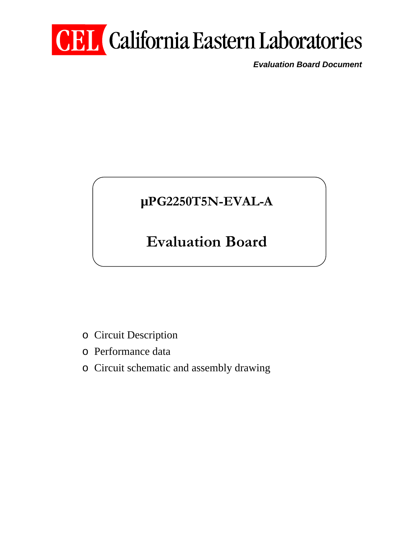# **CEL** California Eastern Laboratories

*Evaluation Board Document* 

# **µPG2250T5N-EVAL-A**

# **Evaluation Board**

- o Circuit Description
- o Performance data
- o Circuit schematic and assembly drawing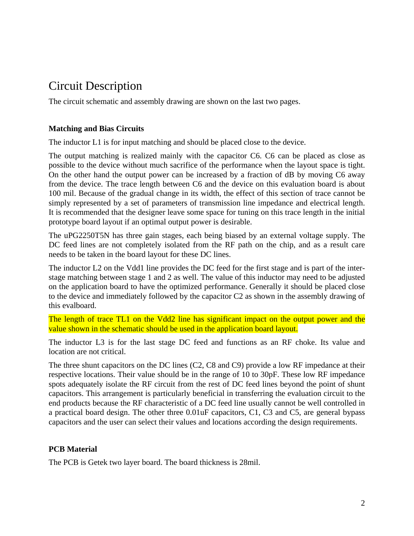## Circuit Description

The circuit schematic and assembly drawing are shown on the last two pages.

#### **Matching and Bias Circuits**

The inductor L1 is for input matching and should be placed close to the device.

The output matching is realized mainly with the capacitor C6. C6 can be placed as close as possible to the device without much sacrifice of the performance when the layout space is tight. On the other hand the output power can be increased by a fraction of dB by moving C6 away from the device. The trace length between C6 and the device on this evaluation board is about 100 mil. Because of the gradual change in its width, the effect of this section of trace cannot be simply represented by a set of parameters of transmission line impedance and electrical length. It is recommended that the designer leave some space for tuning on this trace length in the initial prototype board layout if an optimal output power is desirable.

The uPG2250T5N has three gain stages, each being biased by an external voltage supply. The DC feed lines are not completely isolated from the RF path on the chip, and as a result care needs to be taken in the board layout for these DC lines.

The inductor L2 on the Vdd1 line provides the DC feed for the first stage and is part of the interstage matching between stage 1 and 2 as well. The value of this inductor may need to be adjusted on the application board to have the optimized performance. Generally it should be placed close to the device and immediately followed by the capacitor C2 as shown in the assembly drawing of this evalboard.

The length of trace TL1 on the Vdd2 line has significant impact on the output power and the value shown in the schematic should be used in the application board layout.

The inductor L3 is for the last stage DC feed and functions as an RF choke. Its value and location are not critical.

The three shunt capacitors on the DC lines (C2, C8 and C9) provide a low RF impedance at their respective locations. Their value should be in the range of 10 to 30pF. These low RF impedance spots adequately isolate the RF circuit from the rest of DC feed lines beyond the point of shunt capacitors. This arrangement is particularly beneficial in transferring the evaluation circuit to the end products because the RF characteristic of a DC feed line usually cannot be well controlled in a practical board design. The other three 0.01uF capacitors, C1, C3 and C5, are general bypass capacitors and the user can select their values and locations according the design requirements.

#### **PCB Material**

The PCB is Getek two layer board. The board thickness is 28mil.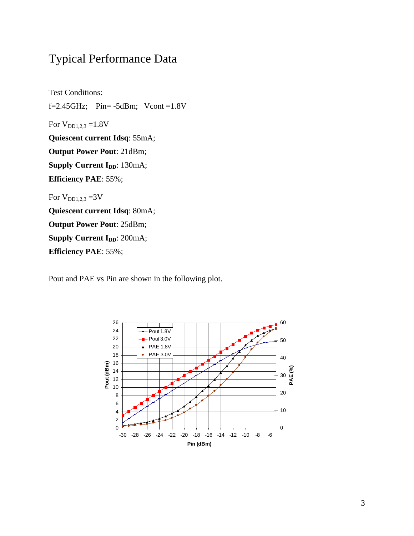### Typical Performance Data

Test Conditions: f=2.45GHz; Pin= $-5dBm$ ; Vcont =1.8V For  $V_{DD1,2,3}$  =1.8V **Quiescent current Idsq**: 55mA; **Output Power Pout**: 21dBm; **Supply Current I<sub>DD</sub>: 130mA; Efficiency PAE**: 55%; For  $V_{DD1,2,3} = 3V$ **Quiescent current Idsq**: 80mA; **Output Power Pout**: 25dBm; **Supply Current I<sub>DD</sub>: 200mA; Efficiency PAE**: 55%;

Pout and PAE vs Pin are shown in the following plot.

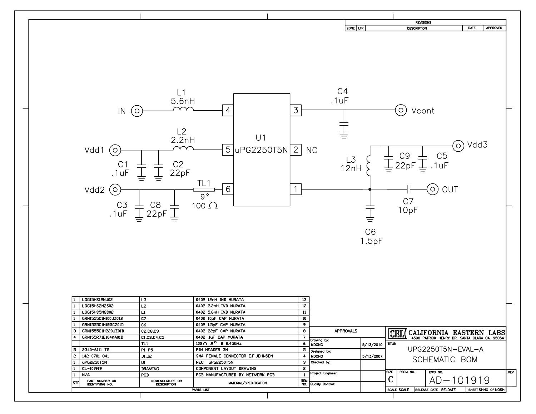|                                                          |                                                                                                                                                                  |                                                                                                           |                |                          |                                                |                                     |                | <b>REVISIONS</b>                                                                                                                                                                                                                                                                                                                                                                                                                                                                                   |              |                    |
|----------------------------------------------------------|------------------------------------------------------------------------------------------------------------------------------------------------------------------|-----------------------------------------------------------------------------------------------------------|----------------|--------------------------|------------------------------------------------|-------------------------------------|----------------|----------------------------------------------------------------------------------------------------------------------------------------------------------------------------------------------------------------------------------------------------------------------------------------------------------------------------------------------------------------------------------------------------------------------------------------------------------------------------------------------------|--------------|--------------------|
|                                                          |                                                                                                                                                                  |                                                                                                           |                |                          | ZONE LTR                                       |                                     |                | <b>DESCRIPTION</b>                                                                                                                                                                                                                                                                                                                                                                                                                                                                                 | DATE         | <b>APPROVED</b>    |
| IN(0)<br>Vdd1<br>$\circ$<br>C1<br>1uF.<br>$Vdd2$ $\odot$ | $L$ 1<br>5.6nH<br>$L^2$<br>2.2nH<br>$^{C2}_{22pF}$<br>C3 $\frac{\perp}{\perp}$ C8 $\frac{\perp}{\perp}$<br>.1uF $\frac{\perp}{\perp}$ 22pF $\frac{\perp}{\perp}$ | $\overline{4}$<br>U1<br>$5 \mu P G2250T5N[2]$<br>TL <sub>1</sub><br>6<br>$\overline{9}$ °<br>100 $\Omega$ | $\mathfrak{Z}$ |                          | $C4$ . 1 uF<br>Į<br><b>NC</b><br>$L_3$<br>12nH | $\frac{1}{x}$<br>$\frac{C6}{1.5pF}$ | $C7$<br>10pF   | ⊙ Vcont<br>$\frac{\perp}{\perp} \mathsf{C9} \begin{tabular}{c} \perp \\[-1.5mm] \rule{0mm}{3mm} \end{tabular} \begin{tabular}{c} \multicolumn{3}{c}{} \rule{0mm}{3mm} \multicolumn{3}{c}{} \rule{0mm}{3mm} \end{tabular} \begin{tabular}{c} \multicolumn{3}{c}{} \multicolumn{3}{c}{} \multicolumn{3}{c}{} \multicolumn{3}{c}{} \multicolumn{3}{c}{} \multicolumn{3}{c}{} \multicolumn{3}{c}{} \multicolumn{3}{c}{} \multicolumn{3}{c}{} \multicolumn{3}{c}{} \multicolumn{3}{c}{}$<br>$\odot$ out | $\odot$ Vdd3 |                    |
| LQG15HS12NJ02                                            | L3                                                                                                                                                               | 0402 12nH IND MURATA                                                                                      |                |                          |                                                |                                     |                |                                                                                                                                                                                                                                                                                                                                                                                                                                                                                                    |              |                    |
| LQG15HS2N2S02                                            | L2                                                                                                                                                               | 0402 2.2nH IND MURATA                                                                                     |                | $\frac{13}{12}$          |                                                |                                     |                |                                                                                                                                                                                                                                                                                                                                                                                                                                                                                                    |              |                    |
| LQG15HS5N6S02                                            | L1                                                                                                                                                               | 0402 5.6nH IND MURATA                                                                                     |                | $11\,$                   |                                                |                                     |                |                                                                                                                                                                                                                                                                                                                                                                                                                                                                                                    |              |                    |
|                                                          |                                                                                                                                                                  |                                                                                                           |                |                          |                                                |                                     |                |                                                                                                                                                                                                                                                                                                                                                                                                                                                                                                    |              |                    |
| 1<br>GRM1555C1H100JZ01B                                  | C7                                                                                                                                                               | 0402 10pF CAP MURATA                                                                                      |                | 10                       |                                                |                                     |                |                                                                                                                                                                                                                                                                                                                                                                                                                                                                                                    |              |                    |
| GRM1555C1H1R5CZ01D                                       | C6                                                                                                                                                               | 0402 1.5pF CAP MURATA                                                                                     |                | 9                        |                                                |                                     |                |                                                                                                                                                                                                                                                                                                                                                                                                                                                                                                    |              |                    |
| з.<br>GRM1555C1H220JZ01B                                 | C2,C8,C9                                                                                                                                                         | 0402 22pF CAP MURATA                                                                                      |                | 8                        | <b>APPROVALS</b>                               |                                     |                |                                                                                                                                                                                                                                                                                                                                                                                                                                                                                                    |              |                    |
| GRM155R71E104KA01D<br>$\overline{4}$                     | C1,C3,C4,C5                                                                                                                                                      | 0402 .1uF CAP MURATA                                                                                      |                | $\overline{\phantom{a}}$ |                                                |                                     |                | CEL CALIFORNIA EASTERN LABS                                                                                                                                                                                                                                                                                                                                                                                                                                                                        |              |                    |
|                                                          |                                                                                                                                                                  |                                                                                                           |                |                          | Drawing by:                                    |                                     |                |                                                                                                                                                                                                                                                                                                                                                                                                                                                                                                    |              |                    |
|                                                          | TL1                                                                                                                                                              | 100 $\Omega$ , 9 <sup>0</sup> e 2.45GHz                                                                   |                | $\epsilon$               | <b>MDONG</b>                                   | 5/13/2010 TILE:                     |                |                                                                                                                                                                                                                                                                                                                                                                                                                                                                                                    |              |                    |
| 5<br>2340-6111 TG                                        | $P1-P5$                                                                                                                                                          | PIN HEADER 3M                                                                                             |                | 5                        | Designed by:                                   |                                     |                | UPG2250T5N-EVAL-A                                                                                                                                                                                                                                                                                                                                                                                                                                                                                  |              |                    |
| 2<br>142-0701-841                                        | J1, J2                                                                                                                                                           | SMA FEMALE CONNECTOR E.F.JOHNSON                                                                          |                | $\blacktriangleleft$     | <b>MDONG</b>                                   | 5/13/2007                           |                |                                                                                                                                                                                                                                                                                                                                                                                                                                                                                                    |              |                    |
|                                                          |                                                                                                                                                                  |                                                                                                           |                |                          |                                                |                                     |                | SCHEMATIC BOM                                                                                                                                                                                                                                                                                                                                                                                                                                                                                      |              |                    |
| uPG2250T5N                                               | U1                                                                                                                                                               | NEC uPG2250T5N                                                                                            |                | 3                        | Checked by:                                    |                                     |                |                                                                                                                                                                                                                                                                                                                                                                                                                                                                                                    |              |                    |
| CL-101919                                                | DRAWING                                                                                                                                                          | COMPONENT LAYOUT DRAWING                                                                                  |                | $\overline{c}$           |                                                |                                     |                |                                                                                                                                                                                                                                                                                                                                                                                                                                                                                                    |              |                    |
| N/A                                                      | PCB                                                                                                                                                              | PCB MANUFACTURED BY NETWORK PCB                                                                           |                | $\mathbf{1}$             | Project Engineer:                              |                                     | SIZE FSCM NO.  | DWG NO.                                                                                                                                                                                                                                                                                                                                                                                                                                                                                            |              | REV                |
| PART NUMBER OR<br>IDENTIFYING NO.<br>QΤΥ                 | NOMENCLATURE OR<br>DESCRIPTION                                                                                                                                   |                                                                                                           |                |                          | ITEM<br>NO. Quality Control:                   |                                     | $\overline{C}$ | AD-101919                                                                                                                                                                                                                                                                                                                                                                                                                                                                                          |              |                    |
|                                                          |                                                                                                                                                                  | MATERIAL/SPECIFICATION                                                                                    |                |                          |                                                |                                     |                |                                                                                                                                                                                                                                                                                                                                                                                                                                                                                                    |              |                    |
|                                                          |                                                                                                                                                                  | PARTS LIST                                                                                                |                |                          |                                                |                                     |                | SCALE SCALE RELEASE DATE RELDATE                                                                                                                                                                                                                                                                                                                                                                                                                                                                   |              | SHEET SHNO OF NOSH |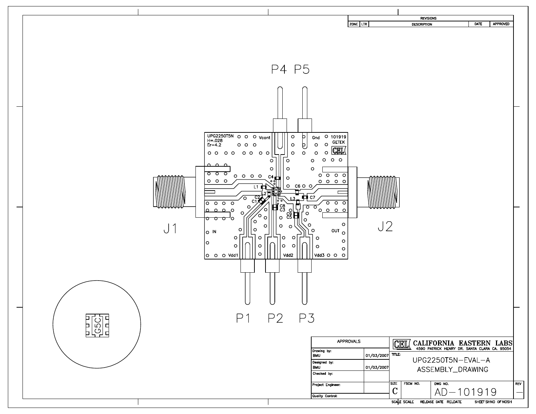